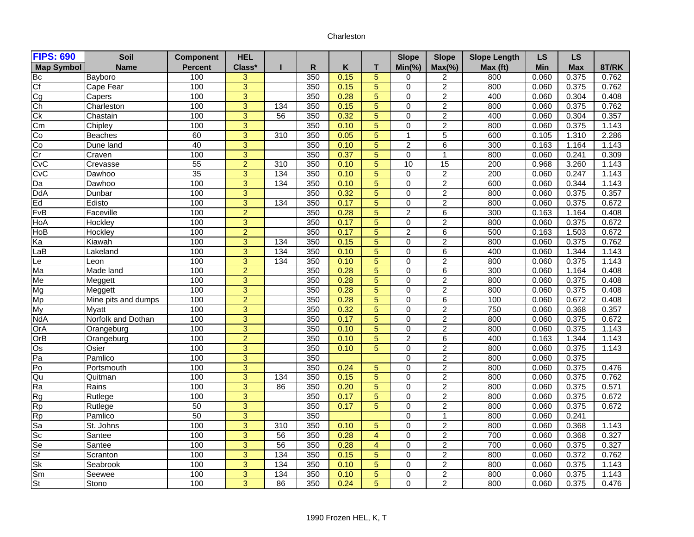## Charleston

| <b>FIPS: 690</b>  | Soil                | <b>Component</b> | <b>HEL</b>     |                  |     |      |                | <b>Slope</b>   | <b>Slope</b>    | <b>Slope Length</b> | <b>LS</b> | <b>LS</b>  |       |
|-------------------|---------------------|------------------|----------------|------------------|-----|------|----------------|----------------|-----------------|---------------------|-----------|------------|-------|
| <b>Map Symbol</b> | <b>Name</b>         | <b>Percent</b>   | Class*         |                  | R   | K    | т              | $Min(\% )$     | $Max(\% )$      | Max (ft)            | Min       | <b>Max</b> | 8T/RK |
| Bc                | Bayboro             | 100              | $\overline{3}$ |                  | 350 | 0.15 | 5              | 0              | $\overline{2}$  | 800                 | 0.060     | 0.375      | 0.762 |
| Cf                | Cape Fear           | 100              | 3              |                  | 350 | 0.15 | 5              | $\mathbf 0$    | $\overline{c}$  | 800                 | 0.060     | 0.375      | 0.762 |
| Cg                | Capers              | 100              | $\overline{3}$ |                  | 350 | 0.28 | 5              | $\mathbf 0$    | $\overline{c}$  | 400                 | 0.060     | 0.304      | 0.408 |
| Ch                | Charleston          | 100              | $\overline{3}$ | 134              | 350 | 0.15 | 5              | $\Omega$       | $\overline{c}$  | 800                 | 0.060     | 0.375      | 0.762 |
| Ck                | Chastain            | 100              | $\overline{3}$ | 56               | 350 | 0.32 | 5              | $\Omega$       | $\overline{2}$  | 400                 | 0.060     | 0.304      | 0.357 |
| Cm                | Chipley             | 100              | $\overline{3}$ |                  | 350 | 0.10 | 5              | $\Omega$       | $\overline{2}$  | 800                 | 0.060     | 0.375      | 1.143 |
| Co                | <b>Beaches</b>      | 60               | $\overline{3}$ | $\overline{310}$ | 350 | 0.05 | 5              | $\mathbf{1}$   | 5               | 600                 | 0.105     | 1.310      | 2.286 |
| Co                | Dune land           | 40               | $\overline{3}$ |                  | 350 | 0.10 | $\overline{5}$ | $\overline{2}$ | 6               | 300                 | 0.163     | 1.164      | 1.143 |
| Cr                | Craven              | 100              | $\overline{3}$ |                  | 350 | 0.37 | 5              | $\Omega$       | $\overline{1}$  | 800                 | 0.060     | 0.241      | 0.309 |
| CvC               | Crevasse            | 55               | $\overline{2}$ | 310              | 350 | 0.10 | 5              | 10             | $\overline{15}$ | 200                 | 0.968     | 3.260      | 1.143 |
| CvC               | Dawhoo              | 35               | 3              | 134              | 350 | 0.10 | 5              | $\Omega$       | $\overline{2}$  | 200                 | 0.060     | 0.247      | 1.143 |
| Da                | Dawhoo              | 100              | $\overline{3}$ | 134              | 350 | 0.10 | $\overline{5}$ | $\Omega$       | $\overline{2}$  | 600                 | 0.060     | 0.344      | 1.143 |
| <b>DdA</b>        | Dunbar              | 100              | $\overline{3}$ |                  | 350 | 0.32 | 5              | $\Omega$       | $\overline{2}$  | 800                 | 0.060     | 0.375      | 0.357 |
| Ed                | Edisto              | 100              | $\overline{3}$ | 134              | 350 | 0.17 | $\overline{5}$ | $\Omega$       | $\overline{2}$  | 800                 | 0.060     | 0.375      | 0.672 |
| FvB               | Faceville           | 100              | $\overline{2}$ |                  | 350 | 0.28 | 5              | $\overline{2}$ | 6               | 300                 | 0.163     | 1.164      | 0.408 |
| HoA               | Hockley             | 100              | 3              |                  | 350 | 0.17 | 5              | $\Omega$       | $\overline{c}$  | 800                 | 0.060     | 0.375      | 0.672 |
| HoB               | Hockley             | 100              | $\overline{2}$ |                  | 350 | 0.17 | 5              | $\overline{2}$ | 6               | 500                 | 0.163     | 1.503      | 0.672 |
| Ka                | Kiawah              | 100              | 3              | 134              | 350 | 0.15 | 5              | $\Omega$       | $\overline{c}$  | 800                 | 0.060     | 0.375      | 0.762 |
| LaB               | _akeland            | 100              | $\overline{3}$ | 134              | 350 | 0.10 | 5              | $\Omega$       | 6               | 400                 | 0.060     | 1.344      | 1.143 |
| Le                | Leon                | 100              | $\overline{3}$ | 134              | 350 | 0.10 | 5              | $\Omega$       | $\overline{2}$  | 800                 | 0.060     | 0.375      | 1.143 |
| Ma                | Made land           | 100              | $\overline{2}$ |                  | 350 | 0.28 | 5              | $\Omega$       | 6               | 300                 | 0.060     | 1.164      | 0.408 |
| Me                | Meggett             | 100              | $\overline{3}$ |                  | 350 | 0.28 | 5              | $\Omega$       | $\overline{2}$  | 800                 | 0.060     | 0.375      | 0.408 |
| Mg                | Meggett             | 100              | $\overline{3}$ |                  | 350 | 0.28 | $\overline{5}$ | $\Omega$       | $\overline{2}$  | 800                 | 0.060     | 0.375      | 0.408 |
| Mp                | Mine pits and dumps | 100              | $\overline{2}$ |                  | 350 | 0.28 | $\overline{5}$ | $\Omega$       | 6               | 100                 | 0.060     | 0.672      | 0.408 |
| My                | Myatt               | 100              | 3              |                  | 350 | 0.32 | 5              | $\Omega$       | $\overline{c}$  | 750                 | 0.060     | 0.368      | 0.357 |
| <b>NdA</b>        | Norfolk and Dothan  | 100              | $\overline{3}$ |                  | 350 | 0.17 | 5              | $\Omega$       | $\overline{2}$  | 800                 | 0.060     | 0.375      | 0.672 |
| OrA               | Orangeburg          | 100              | 3              |                  | 350 | 0.10 | 5              | $\Omega$       | $\overline{c}$  | 800                 | 0.060     | 0.375      | 1.143 |
| OrB               | Orangeburg          | 100              | $\overline{2}$ |                  | 350 | 0.10 | 5              | $\overline{2}$ | 6               | 400                 | 0.163     | 1.344      | 1.143 |
| $\overline{Os}$   | Osier               | 100              | $\overline{3}$ |                  | 350 | 0.10 | 5              | $\Omega$       | $\overline{2}$  | 800                 | 0.060     | 0.375      | 1.143 |
| Pa                | Pamlico             | 100              | $\overline{3}$ |                  | 350 |      |                | $\Omega$       | $\overline{2}$  | 800                 | 0.060     | 0.375      |       |
| Po                | Portsmouth          | 100              | $\overline{3}$ |                  | 350 | 0.24 | 5              | $\mathbf 0$    | $\overline{2}$  | 800                 | 0.060     | 0.375      | 0.476 |
| Qu                | Quitman             | 100              | 3              | 134              | 350 | 0.15 | 5              | $\Omega$       | $\overline{c}$  | 800                 | 0.060     | 0.375      | 0.762 |
| Ra                | Rains               | 100              | $\overline{3}$ | 86               | 350 | 0.20 | 5              | $\mathbf 0$    | $\overline{2}$  | 800                 | 0.060     | 0.375      | 0.571 |
| <b>Rg</b>         | Rutlege             | 100              | $\overline{3}$ |                  | 350 | 0.17 | 5              | $\Omega$       | $\overline{2}$  | 800                 | 0.060     | 0.375      | 0.672 |
| <b>Rp</b>         | Rutlege             | 50               | 3              |                  | 350 | 0.17 | 5              | $\Omega$       | $\overline{2}$  | 800                 | 0.060     | 0.375      | 0.672 |
| Rp                | Pamlico             | 50               | 3              |                  | 350 |      |                | $\Omega$       | $\overline{1}$  | 800                 | 0.060     | 0.241      |       |
| Sa                | St. Johns           | 100              | $\overline{3}$ | 310              | 350 | 0.10 | 5              | $\Omega$       | $\overline{2}$  | 800                 | 0.060     | 0.368      | 1.143 |
| $S_{\rm C}$       | Santee              | 100              | $\overline{3}$ | 56               | 350 | 0.28 | $\overline{4}$ | $\Omega$       | $\overline{2}$  | 700                 | 0.060     | 0.368      | 0.327 |
| Se                | Santee              | 100              | $\overline{3}$ | $\overline{56}$  | 350 | 0.28 | $\overline{4}$ | $\Omega$       | $\overline{c}$  | 700                 | 0.060     | 0.375      | 0.327 |
| Sf                | Scranton            | 100              | $\overline{3}$ | 134              | 350 | 0.15 | 5              | $\Omega$       | $\overline{2}$  | 800                 | 0.060     | 0.372      | 0.762 |
| <b>Sk</b>         | Seabrook            | 100              | 3              | 134              | 350 | 0.10 | 5              | $\Omega$       | $\overline{c}$  | 800                 | 0.060     | 0.375      | 1.143 |
| Sm                | Seewee              | 100              | $\overline{3}$ | 134              | 350 | 0.10 | 5              | $\mathbf 0$    | $\overline{c}$  | 800                 | 0.060     | 0.375      | 1.143 |
| <b>St</b>         | Stono               | 100              | 3              | 86               | 350 | 0.24 | 5              | $\Omega$       | $\overline{2}$  | 800                 | 0.060     | 0.375      | 0.476 |